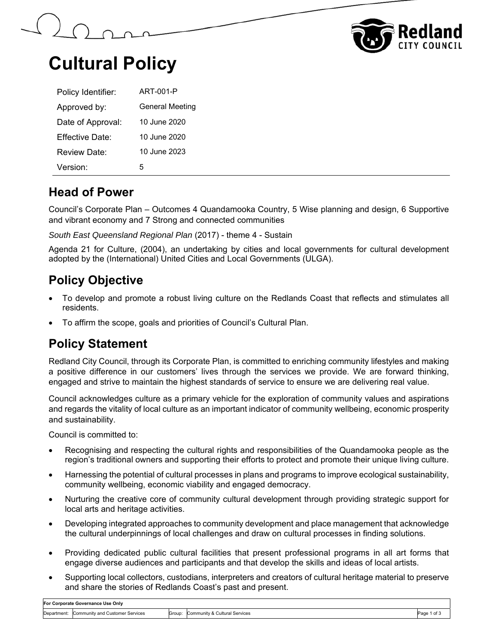



### **Cultural Policy**

| Policy Identifier:   | ART-001-P              |
|----------------------|------------------------|
| Approved by:         | <b>General Meeting</b> |
| Date of Approval:    | 10 June 2020           |
| Effective Date:      | 10 June 2020           |
| Review Date:         | 10 June 2023           |
| Version <sup>.</sup> | 5                      |

#### **Head of Power**

Council's Corporate Plan – Outcomes 4 Quandamooka Country, 5 Wise planning and design, 6 Supportive and vibrant economy and 7 Strong and connected communities

*South East Queensland Regional Plan* (2017) - theme 4 - Sustain

Agenda 21 for Culture, (2004), an undertaking by cities and local governments for cultural development adopted by the (International) United Cities and Local Governments (ULGA).

### **Policy Objective**

- To develop and promote a robust living culture on the Redlands Coast that reflects and stimulates all residents.
- To affirm the scope, goals and priorities of Council's Cultural Plan.

### **Policy Statement**

Redland City Council, through its Corporate Plan, is committed to enriching community lifestyles and making a positive difference in our customers' lives through the services we provide. We are forward thinking, engaged and strive to maintain the highest standards of service to ensure we are delivering real value.

Council acknowledges culture as a primary vehicle for the exploration of community values and aspirations and regards the vitality of local culture as an important indicator of community wellbeing, economic prosperity and sustainability.

Council is committed to:

- Recognising and respecting the cultural rights and responsibilities of the Quandamooka people as the region's traditional owners and supporting their efforts to protect and promote their unique living culture.
- Harnessing the potential of cultural processes in plans and programs to improve ecological sustainability, community wellbeing, economic viability and engaged democracy.
- Nurturing the creative core of community cultural development through providing strategic support for local arts and heritage activities.
- Developing integrated approaches to community development and place management that acknowledge the cultural underpinnings of local challenges and draw on cultural processes in finding solutions.
- Providing dedicated public cultural facilities that present professional programs in all art forms that engage diverse audiences and participants and that develop the skills and ideas of local artists.
- Supporting local collectors, custodians, interpreters and creators of cultural heritage material to preserve and share the stories of Redlands Coast's past and present.

| For Corporate Governance Use Only |                                             |  |                                      |        |
|-----------------------------------|---------------------------------------------|--|--------------------------------------|--------|
|                                   | Department: Community and Customer Services |  | Group: Community & Cultural Services | Page 1 |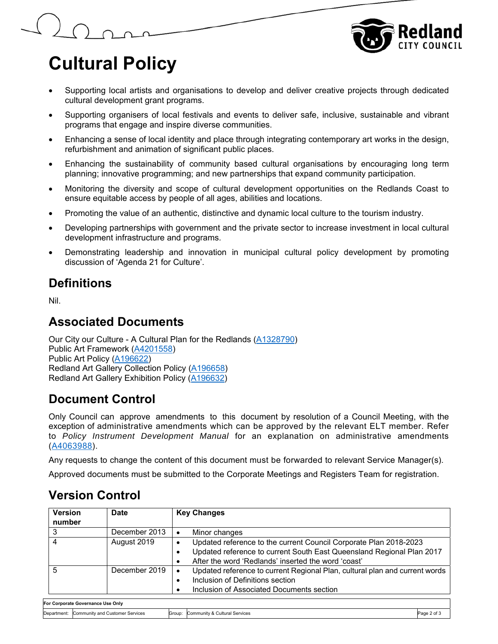

## **Cultural Policy**

 $\Omega$ 

- Supporting local artists and organisations to develop and deliver creative projects through dedicated cultural development grant programs.
- Supporting organisers of local festivals and events to deliver safe, inclusive, sustainable and vibrant programs that engage and inspire diverse communities.
- Enhancing a sense of local identity and place through integrating contemporary art works in the design, refurbishment and animation of significant public places.
- Enhancing the sustainability of community based cultural organisations by encouraging long term planning; innovative programming; and new partnerships that expand community participation.
- Monitoring the diversity and scope of cultural development opportunities on the Redlands Coast to ensure equitable access by people of all ages, abilities and locations.
- Promoting the value of an authentic, distinctive and dynamic local culture to the tourism industry.
- Developing partnerships with government and the private sector to increase investment in local cultural development infrastructure and programs.
- Demonstrating leadership and innovation in municipal cultural policy development by promoting discussion of 'Agenda 21 for Culture'.

#### **Definitions**

Nil.

#### **Associated Documents**

Our City our Culture - A Cultural Plan for the Redlands (A1328790) Public Art Framework (A4201558) Public Art Policy (A196622) Redland Art Gallery Collection Policy (A196658) Redland Art Gallery Exhibition Policy (A196632)

### **Document Control**

Only Council can approve amendments to this document by resolution of a Council Meeting, with the exception of administrative amendments which can be approved by the relevant ELT member. Refer to *Policy Instrument Development Manual* for an explanation on administrative amendments (A4063988).

Any requests to change the content of this document must be forwarded to relevant Service Manager(s).

Approved documents must be submitted to the Corporate Meetings and Registers Team for registration.

#### **Version Control**

| <b>Version</b><br>number                    | Date                              | <b>Key Changes</b>                                                                                                                                                                                                               |
|---------------------------------------------|-----------------------------------|----------------------------------------------------------------------------------------------------------------------------------------------------------------------------------------------------------------------------------|
|                                             | December 2013                     | Minor changes                                                                                                                                                                                                                    |
| 4                                           | August 2019                       | Updated reference to the current Council Corporate Plan 2018-2023<br>$\bullet$<br>Updated reference to current South East Queensland Regional Plan 2017<br>$\bullet$<br>After the word 'Redlands' inserted the word 'coast'<br>٠ |
| 5                                           | December 2019                     | Updated reference to current Regional Plan, cultural plan and current words<br>٠<br>Inclusion of Definitions section<br>Inclusion of Associated Documents section                                                                |
|                                             | For Corporate Governance Use Only |                                                                                                                                                                                                                                  |
| Department: Community and Customer Services |                                   | Page 2 of 3<br>Group: Community & Cultural Services                                                                                                                                                                              |